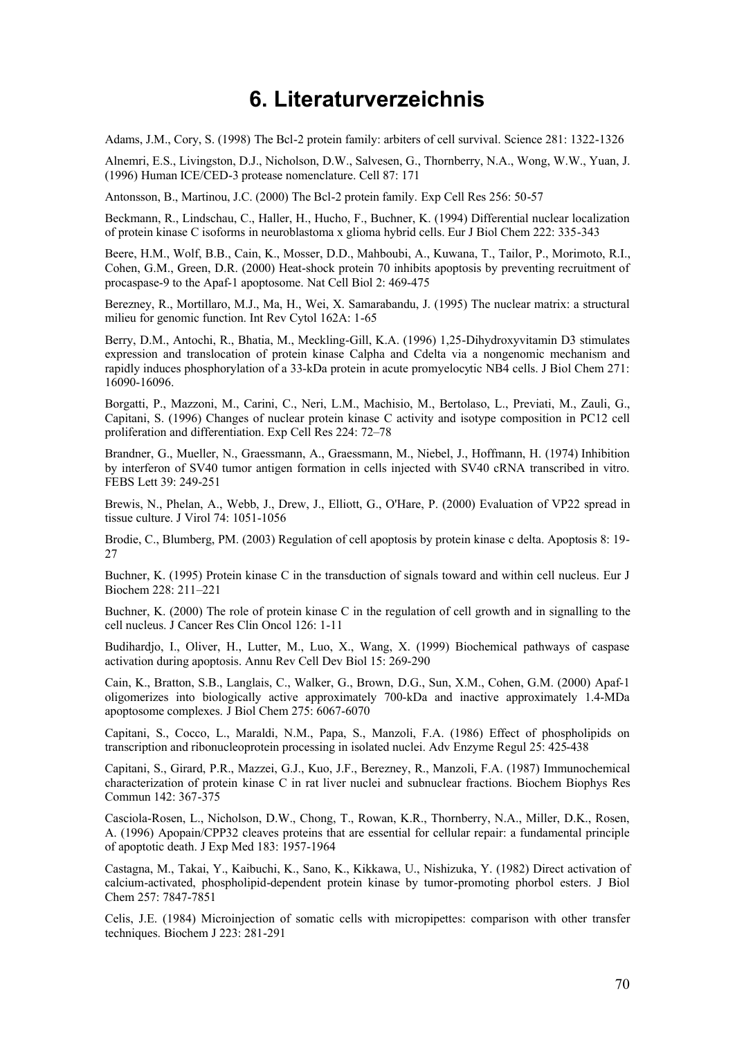## **6. Literaturverzeichnis**

Adams, J.M., Cory, S. (1998) The Bcl-2 protein family: arbiters of cell survival. Science 281: 1322-1326

Alnemri, E.S., Livingston, D.J., Nicholson, D.W., Salvesen, G., Thornberry, N.A., Wong, W.W., Yuan, J. (1996) Human ICE/CED-3 protease nomenclature. Cell 87: 171

Antonsson, B., Martinou, J.C. (2000) The Bcl-2 protein family. Exp Cell Res 256: 50-57

Beckmann, R., Lindschau, C., Haller, H., Hucho, F., Buchner, K. (1994) Differential nuclear localization of protein kinase C isoforms in neuroblastoma x glioma hybrid cells. Eur J Biol Chem 222: 335-343

Beere, H.M., Wolf, B.B., Cain, K., Mosser, D.D., Mahboubi, A., Kuwana, T., Tailor, P., Morimoto, R.I., Cohen, G.M., Green, D.R. (2000) Heat-shock protein 70 inhibits apoptosis by preventing recruitment of procaspase-9 to the Apaf-1 apoptosome. Nat Cell Biol 2: 469-475

Berezney, R., Mortillaro, M.J., Ma, H., Wei, X. Samarabandu, J. (1995) The nuclear matrix: a structural milieu for genomic function. Int Rev Cytol 162A: 1-65

Berry, D.M., Antochi, R., Bhatia, M., Meckling-Gill, K.A. (1996) 1,25-Dihydroxyvitamin D3 stimulates expression and translocation of protein kinase Calpha and Cdelta via a nongenomic mechanism and rapidly induces phosphorylation of a 33-kDa protein in acute promyelocytic NB4 cells. J Biol Chem 271: 16090-16096.

Borgatti, P., Mazzoni, M., Carini, C., Neri, L.M., Machisio, M., Bertolaso, L., Previati, M., Zauli, G., Capitani, S. (1996) Changes of nuclear protein kinase C activity and isotype composition in PC12 cell proliferation and differentiation. Exp Cell Res 224: 72–78

Brandner, G., Mueller, N., Graessmann, A., Graessmann, M., Niebel, J., Hoffmann, H. (1974) Inhibition by interferon of SV40 tumor antigen formation in cells injected with SV40 cRNA transcribed in vitro. FEBS Lett 39: 249-251

Brewis, N., Phelan, A., Webb, J., Drew, J., Elliott, G., O'Hare, P. (2000) Evaluation of VP22 spread in tissue culture. J Virol 74: 1051-1056

Brodie, C., Blumberg, PM. (2003) Regulation of cell apoptosis by protein kinase c delta. Apoptosis 8: 19- 27

Buchner, K. (1995) Protein kinase C in the transduction of signals toward and within cell nucleus. Eur J Biochem 228: 211–221

Buchner, K. (2000) The role of protein kinase C in the regulation of cell growth and in signalling to the cell nucleus. J Cancer Res Clin Oncol 126: 1-11

Budihardjo, I., Oliver, H., Lutter, M., Luo, X., Wang, X. (1999) Biochemical pathways of caspase activation during apoptosis. Annu Rev Cell Dev Biol 15: 269-290

Cain, K., Bratton, S.B., Langlais, C., Walker, G., Brown, D.G., Sun, X.M., Cohen, G.M. (2000) Apaf-1 oligomerizes into biologically active approximately 700-kDa and inactive approximately 1.4-MDa apoptosome complexes. J Biol Chem 275: 6067-6070

Capitani, S., Cocco, L., Maraldi, N.M., Papa, S., Manzoli, F.A. (1986) Effect of phospholipids on transcription and ribonucleoprotein processing in isolated nuclei. Adv Enzyme Regul 25: 425-438

Capitani, S., Girard, P.R., Mazzei, G.J., Kuo, J.F., Berezney, R., Manzoli, F.A. (1987) Immunochemical characterization of protein kinase C in rat liver nuclei and subnuclear fractions. Biochem Biophys Res Commun 142: 367-375

Casciola-Rosen, L., Nicholson, D.W., Chong, T., Rowan, K.R., Thornberry, N.A., Miller, D.K., Rosen, A. (1996) Apopain/CPP32 cleaves proteins that are essential for cellular repair: a fundamental principle of apoptotic death. J Exp Med 183: 1957-1964

Castagna, M., Takai, Y., Kaibuchi, K., Sano, K., Kikkawa, U., Nishizuka, Y. (1982) Direct activation of calcium-activated, phospholipid-dependent protein kinase by tumor-promoting phorbol esters. J Biol Chem 257: 7847-7851

Celis, J.E. (1984) Microinjection of somatic cells with micropipettes: comparison with other transfer techniques. Biochem J 223: 281-291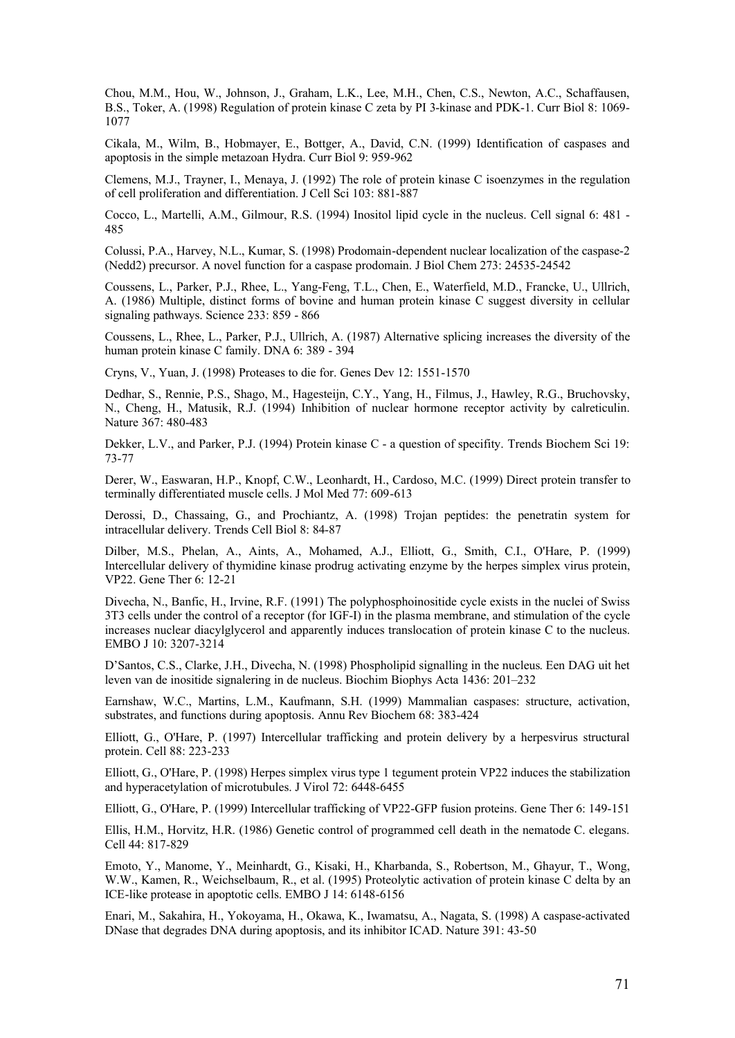Chou, M.M., Hou, W., Johnson, J., Graham, L.K., Lee, M.H., Chen, C.S., Newton, A.C., Schaffausen, B.S., Toker, A. (1998) Regulation of protein kinase C zeta by PI 3-kinase and PDK-1. Curr Biol 8: 1069- 1077

Cikala, M., Wilm, B., Hobmayer, E., Bottger, A., David, C.N. (1999) Identification of caspases and apoptosis in the simple metazoan Hydra. Curr Biol 9: 959-962

Clemens, M.J., Trayner, I., Menaya, J. (1992) The role of protein kinase C isoenzymes in the regulation of cell proliferation and differentiation. J Cell Sci 103: 881-887

Cocco, L., Martelli, A.M., Gilmour, R.S. (1994) Inositol lipid cycle in the nucleus. Cell signal 6: 481 - 485

Colussi, P.A., Harvey, N.L., Kumar, S. (1998) Prodomain-dependent nuclear localization of the caspase-2 (Nedd2) precursor. A novel function for a caspase prodomain. J Biol Chem 273: 24535-24542

Coussens, L., Parker, P.J., Rhee, L., Yang-Feng, T.L., Chen, E., Waterfield, M.D., Francke, U., Ullrich, A. (1986) Multiple, distinct forms of bovine and human protein kinase C suggest diversity in cellular signaling pathways. Science 233: 859 - 866

Coussens, L., Rhee, L., Parker, P.J., Ullrich, A. (1987) Alternative splicing increases the diversity of the human protein kinase C family. DNA 6: 389 - 394

Cryns, V., Yuan, J. (1998) Proteases to die for. Genes Dev 12: 1551-1570

Dedhar, S., Rennie, P.S., Shago, M., Hagesteijn, C.Y., Yang, H., Filmus, J., Hawley, R.G., Bruchovsky, N., Cheng, H., Matusik, R.J. (1994) Inhibition of nuclear hormone receptor activity by calreticulin. Nature 367: 480-483

Dekker, L.V., and Parker, P.J. (1994) Protein kinase C - a question of specifity. Trends Biochem Sci 19: 73-77

Derer, W., Easwaran, H.P., Knopf, C.W., Leonhardt, H., Cardoso, M.C. (1999) Direct protein transfer to terminally differentiated muscle cells. J Mol Med 77: 609-613

Derossi, D., Chassaing, G., and Prochiantz, A. (1998) Trojan peptides: the penetratin system for intracellular delivery. Trends Cell Biol 8: 84-87

Dilber, M.S., Phelan, A., Aints, A., Mohamed, A.J., Elliott, G., Smith, C.I., O'Hare, P. (1999) Intercellular delivery of thymidine kinase prodrug activating enzyme by the herpes simplex virus protein, VP22. Gene Ther 6: 12-21

Divecha, N., Banfic, H., Irvine, R.F. (1991) The polyphosphoinositide cycle exists in the nuclei of Swiss 3T3 cells under the control of a receptor (for IGF-I) in the plasma membrane, and stimulation of the cycle increases nuclear diacylglycerol and apparently induces translocation of protein kinase C to the nucleus. EMBO J 10: 3207-3214

D'Santos, C.S., Clarke, J.H., Divecha, N. (1998) Phospholipid signalling in the nucleus. Een DAG uit het leven van de inositide signalering in de nucleus. Biochim Biophys Acta 1436: 201–232

Earnshaw, W.C., Martins, L.M., Kaufmann, S.H. (1999) Mammalian caspases: structure, activation, substrates, and functions during apoptosis. Annu Rev Biochem 68: 383-424

Elliott, G., O'Hare, P. (1997) Intercellular trafficking and protein delivery by a herpesvirus structural protein. Cell 88: 223-233

Elliott, G., O'Hare, P. (1998) Herpes simplex virus type 1 tegument protein VP22 induces the stabilization and hyperacetylation of microtubules. J Virol 72: 6448-6455

Elliott, G., O'Hare, P. (1999) Intercellular trafficking of VP22-GFP fusion proteins. Gene Ther 6: 149-151

Ellis, H.M., Horvitz, H.R. (1986) Genetic control of programmed cell death in the nematode C. elegans. Cell 44: 817-829

Emoto, Y., Manome, Y., Meinhardt, G., Kisaki, H., Kharbanda, S., Robertson, M., Ghayur, T., Wong, W.W., Kamen, R., Weichselbaum, R., et al. (1995) Proteolytic activation of protein kinase C delta by an ICE-like protease in apoptotic cells. EMBO J 14: 6148-6156

Enari, M., Sakahira, H., Yokoyama, H., Okawa, K., Iwamatsu, A., Nagata, S. (1998) A caspase-activated DNase that degrades DNA during apoptosis, and its inhibitor ICAD. Nature 391: 43-50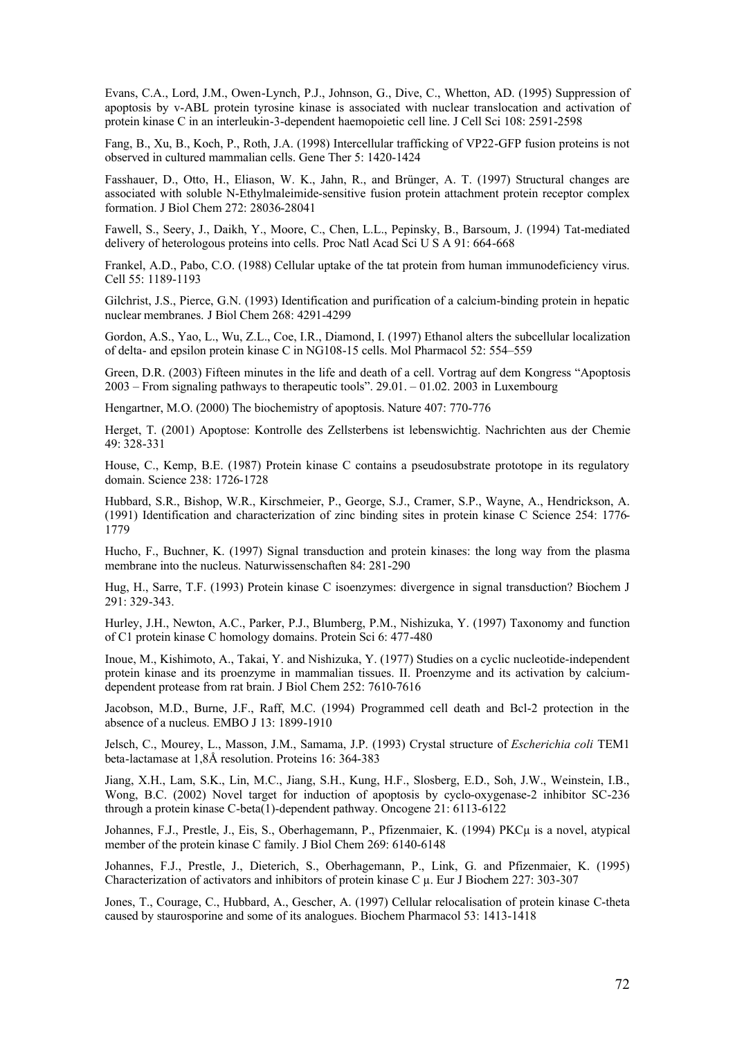Evans, C.A., Lord, J.M., Owen-Lynch, P.J., Johnson, G., Dive, C., Whetton, AD. (1995) Suppression of apoptosis by v-ABL protein tyrosine kinase is associated with nuclear translocation and activation of protein kinase C in an interleukin-3-dependent haemopoietic cell line. J Cell Sci 108: 2591-2598

Fang, B., Xu, B., Koch, P., Roth, J.A. (1998) Intercellular trafficking of VP22-GFP fusion proteins is not observed in cultured mammalian cells. Gene Ther 5: 1420-1424

Fasshauer, D., Otto, H., Eliason, W. K., Jahn, R., and Brünger, A. T. (1997) Structural changes are associated with soluble N-Ethylmaleimide-sensitive fusion protein attachment protein receptor complex formation. J Biol Chem 272: 28036-28041

Fawell, S., Seery, J., Daikh, Y., Moore, C., Chen, L.L., Pepinsky, B., Barsoum, J. (1994) Tat-mediated delivery of heterologous proteins into cells. Proc Natl Acad Sci U S A 91: 664-668

Frankel, A.D., Pabo, C.O. (1988) Cellular uptake of the tat protein from human immunodeficiency virus. Cell 55: 1189-1193

Gilchrist, J.S., Pierce, G.N. (1993) Identification and purification of a calcium-binding protein in hepatic nuclear membranes. J Biol Chem 268: 4291-4299

Gordon, A.S., Yao, L., Wu, Z.L., Coe, I.R., Diamond, I. (1997) Ethanol alters the subcellular localization of delta- and epsilon protein kinase C in NG108-15 cells. Mol Pharmacol 52: 554–559

Green, D.R. (2003) Fifteen minutes in the life and death of a cell. Vortrag auf dem Kongress "Apoptosis 2003 – From signaling pathways to therapeutic tools". 29.01. – 01.02. 2003 in Luxembourg

Hengartner, M.O. (2000) The biochemistry of apoptosis. Nature 407: 770-776

Herget, T. (2001) Apoptose: Kontrolle des Zellsterbens ist lebenswichtig. Nachrichten aus der Chemie 49: 328-331

House, C., Kemp, B.E. (1987) Protein kinase C contains a pseudosubstrate prototope in its regulatory domain. Science 238: 1726-1728

Hubbard, S.R., Bishop, W.R., Kirschmeier, P., George, S.J., Cramer, S.P., Wayne, A., Hendrickson, A. (1991) Identification and characterization of zinc binding sites in protein kinase C Science 254: 1776- 1779

Hucho, F., Buchner, K. (1997) Signal transduction and protein kinases: the long way from the plasma membrane into the nucleus. Naturwissenschaften 84: 281-290

Hug, H., Sarre, T.F. (1993) Protein kinase C isoenzymes: divergence in signal transduction? Biochem J 291: 329-343.

Hurley, J.H., Newton, A.C., Parker, P.J., Blumberg, P.M., Nishizuka, Y. (1997) Taxonomy and function of C1 protein kinase C homology domains. Protein Sci 6: 477-480

Inoue, M., Kishimoto, A., Takai, Y. and Nishizuka, Y. (1977) Studies on a cyclic nucleotide-independent protein kinase and its proenzyme in mammalian tissues. II. Proenzyme and its activation by calciumdependent protease from rat brain. J Biol Chem 252: 7610-7616

Jacobson, M.D., Burne, J.F., Raff, M.C. (1994) Programmed cell death and Bcl-2 protection in the absence of a nucleus. EMBO J 13: 1899-1910

Jelsch, C., Mourey, L., Masson, J.M., Samama, J.P. (1993) Crystal structure of *Escherichia coli* TEM1 beta-lactamase at 1,8Å resolution. Proteins 16: 364-383

Jiang, X.H., Lam, S.K., Lin, M.C., Jiang, S.H., Kung, H.F., Slosberg, E.D., Soh, J.W., Weinstein, I.B., Wong, B.C. (2002) Novel target for induction of apoptosis by cyclo-oxygenase-2 inhibitor SC-236 through a protein kinase C-beta(1)-dependent pathway. Oncogene 21: 6113-6122

Johannes, F.J., Prestle, J., Eis, S., Oberhagemann, P., Pfizenmaier, K. (1994) PKCµ is a novel, atypical member of the protein kinase C family. J Biol Chem 269: 6140-6148

Johannes, F.J., Prestle, J., Dieterich, S., Oberhagemann, P., Link, G. and Pfizenmaier, K. (1995) Characterization of activators and inhibitors of protein kinase C µ. Eur J Biochem 227: 303-307

Jones, T., Courage, C., Hubbard, A., Gescher, A. (1997) Cellular relocalisation of protein kinase C-theta caused by staurosporine and some of its analogues. Biochem Pharmacol 53: 1413-1418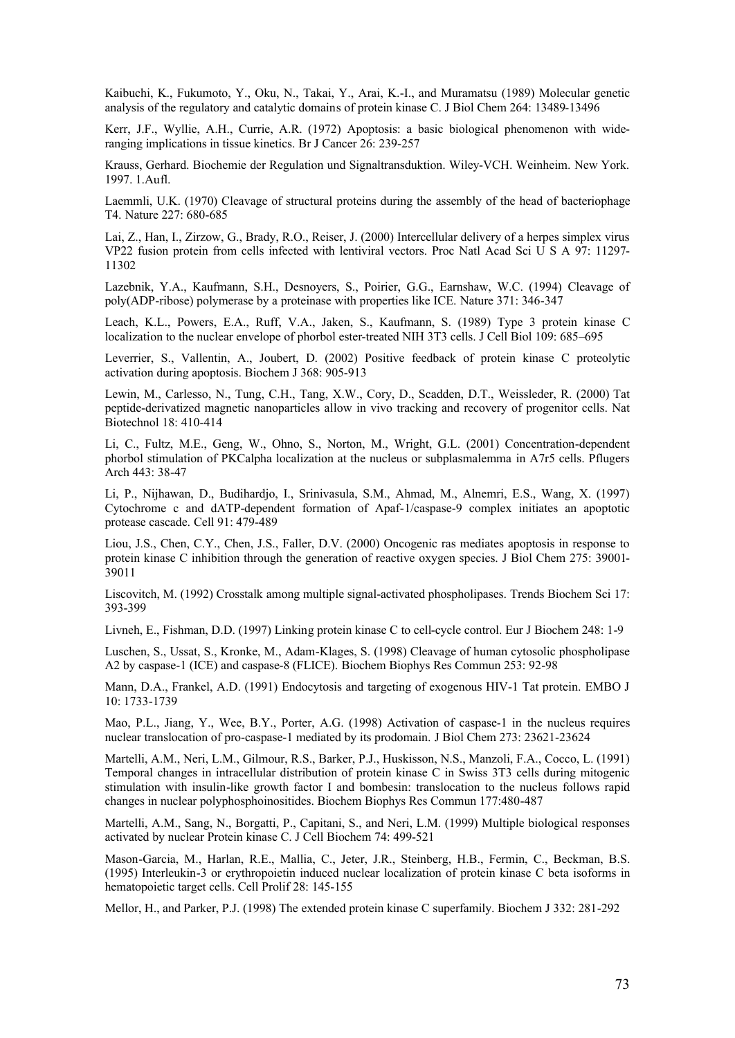Kaibuchi, K., Fukumoto, Y., Oku, N., Takai, Y., Arai, K.-I., and Muramatsu (1989) Molecular genetic analysis of the regulatory and catalytic domains of protein kinase C. J Biol Chem 264: 13489-13496

Kerr, J.F., Wyllie, A.H., Currie, A.R. (1972) Apoptosis: a basic biological phenomenon with wideranging implications in tissue kinetics. Br J Cancer 26: 239-257

Krauss, Gerhard. Biochemie der Regulation und Signaltransduktion. Wiley-VCH. Weinheim. New York. 1997. 1.Aufl.

Laemmli, U.K. (1970) Cleavage of structural proteins during the assembly of the head of bacteriophage T4. Nature 227: 680-685

Lai, Z., Han, I., Zirzow, G., Brady, R.O., Reiser, J. (2000) Intercellular delivery of a herpes simplex virus VP22 fusion protein from cells infected with lentiviral vectors. Proc Natl Acad Sci U S A 97: 11297- 11302

Lazebnik, Y.A., Kaufmann, S.H., Desnoyers, S., Poirier, G.G., Earnshaw, W.C. (1994) Cleavage of poly(ADP-ribose) polymerase by a proteinase with properties like ICE. Nature 371: 346-347

Leach, K.L., Powers, E.A., Ruff, V.A., Jaken, S., Kaufmann, S. (1989) Type 3 protein kinase C localization to the nuclear envelope of phorbol ester-treated NIH 3T3 cells. J Cell Biol 109: 685–695

Leverrier, S., Vallentin, A., Joubert, D. (2002) Positive feedback of protein kinase C proteolytic activation during apoptosis. Biochem J 368: 905-913

Lewin, M., Carlesso, N., Tung, C.H., Tang, X.W., Cory, D., Scadden, D.T., Weissleder, R. (2000) Tat peptide-derivatized magnetic nanoparticles allow in vivo tracking and recovery of progenitor cells. Nat Biotechnol 18: 410-414

Li, C., Fultz, M.E., Geng, W., Ohno, S., Norton, M., Wright, G.L. (2001) Concentration-dependent phorbol stimulation of PKCalpha localization at the nucleus or subplasmalemma in A7r5 cells. Pflugers Arch 443: 38-47

Li, P., Nijhawan, D., Budihardjo, I., Srinivasula, S.M., Ahmad, M., Alnemri, E.S., Wang, X. (1997) Cytochrome c and dATP-dependent formation of Apaf-1/caspase-9 complex initiates an apoptotic protease cascade. Cell 91: 479-489

Liou, J.S., Chen, C.Y., Chen, J.S., Faller, D.V. (2000) Oncogenic ras mediates apoptosis in response to protein kinase C inhibition through the generation of reactive oxygen species. J Biol Chem 275: 39001- 39011

Liscovitch, M. (1992) Crosstalk among multiple signal-activated phospholipases. Trends Biochem Sci 17: 393-399

Livneh, E., Fishman, D.D. (1997) Linking protein kinase C to cell-cycle control. Eur J Biochem 248: 1-9

Luschen, S., Ussat, S., Kronke, M., Adam-Klages, S. (1998) Cleavage of human cytosolic phospholipase A2 by caspase-1 (ICE) and caspase-8 (FLICE). Biochem Biophys Res Commun 253: 92-98

Mann, D.A., Frankel, A.D. (1991) Endocytosis and targeting of exogenous HIV-1 Tat protein. EMBO J 10: 1733-1739

Mao, P.L., Jiang, Y., Wee, B.Y., Porter, A.G. (1998) Activation of caspase-1 in the nucleus requires nuclear translocation of pro-caspase-1 mediated by its prodomain. J Biol Chem 273: 23621-23624

Martelli, A.M., Neri, L.M., Gilmour, R.S., Barker, P.J., Huskisson, N.S., Manzoli, F.A., Cocco, L. (1991) Temporal changes in intracellular distribution of protein kinase C in Swiss 3T3 cells during mitogenic stimulation with insulin-like growth factor I and bombesin: translocation to the nucleus follows rapid changes in nuclear polyphosphoinositides. Biochem Biophys Res Commun 177:480-487

Martelli, A.M., Sang, N., Borgatti, P., Capitani, S., and Neri, L.M. (1999) Multiple biological responses activated by nuclear Protein kinase C. J Cell Biochem 74: 499-521

Mason-Garcia, M., Harlan, R.E., Mallia, C., Jeter, J.R., Steinberg, H.B., Fermin, C., Beckman, B.S. (1995) Interleukin-3 or erythropoietin induced nuclear localization of protein kinase C beta isoforms in hematopoietic target cells. Cell Prolif 28: 145-155

Mellor, H., and Parker, P.J. (1998) The extended protein kinase C superfamily. Biochem J 332: 281-292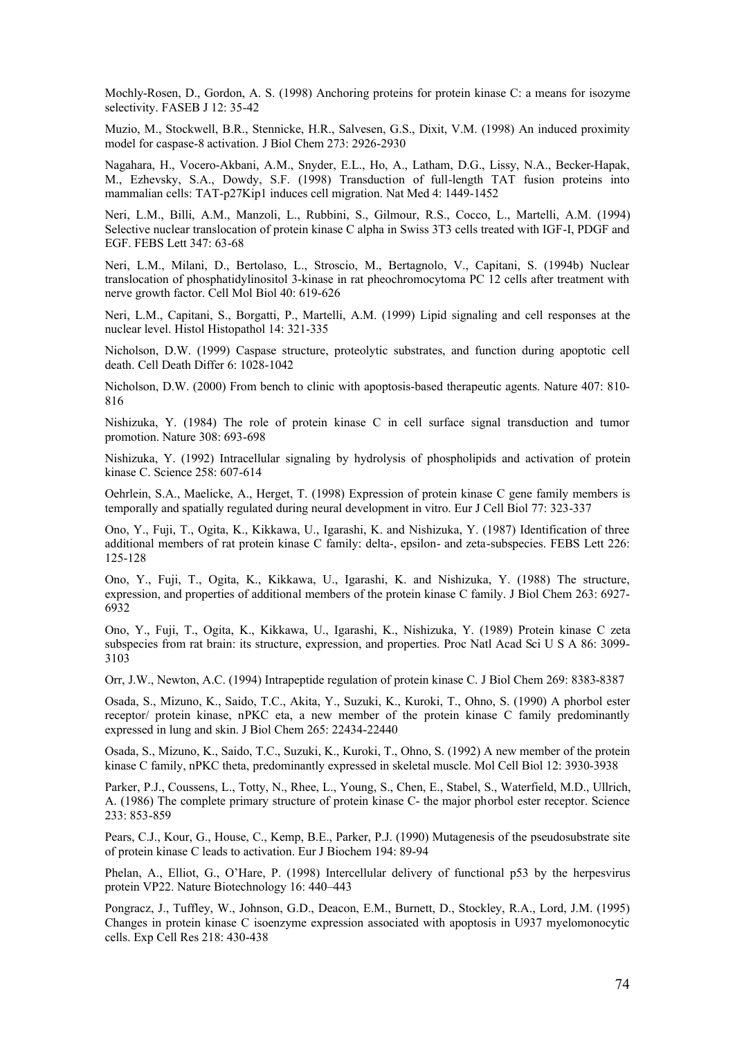Mochly-Rosen, D., Gordon, A. S. (1998) Anchoring proteins for protein kinase C: a means for isozyme selectivity. FASEB J 12: 35-42

Muzio, M., Stockwell, B.R., Stennicke, H.R., Salvesen, G.S., Dixit, V.M. (1998) An induced proximity model for caspase-8 activation. J Biol Chem 273: 2926-2930

Nagahara, H., Vocero-Akbani, A.M., Snyder, E.L., Ho, A., Latham, D.G., Lissy, N.A., Becker-Hapak, M., Ezhevsky, S.A., Dowdy, S.F. (1998) Transduction of full-length TAT fusion proteins into mammalian cells: TAT-p27Kip1 induces cell migration. Nat Med 4: 1449-1452

Neri, L.M., Billi, A.M., Manzoli, L., Rubbini, S., Gilmour, R.S., Cocco, L., Martelli, A.M. (1994) Selective nuclear translocation of protein kinase C alpha in Swiss 3T3 cells treated with IGF-I, PDGF and EGF. FEBS Lett 347: 63-68

Neri, L.M., Milani, D., Bertolaso, L., Stroscio, M., Bertagnolo, V., Capitani, S. (1994b) Nuclear translocation of phosphatidylinositol 3-kinase in rat pheochromocytoma PC 12 cells after treatment with nerve growth factor. Cell Mol Biol 40: 619-626

Neri, L.M., Capitani, S., Borgatti, P., Martelli, A.M. (1999) Lipid signaling and cell responses at the nuclear level. Histol Histopathol 14: 321-335

Nicholson, D.W. (1999) Caspase structure, proteolytic substrates, and function during apoptotic cell death. Cell Death Differ 6: 1028-1042

Nicholson, D.W. (2000) From bench to clinic with apoptosis-based therapeutic agents. Nature 407: 810- 816

Nishizuka, Y. (1984) The role of protein kinase C in cell surface signal transduction and tumor promotion. Nature 308: 693-698

Nishizuka, Y. (1992) Intracellular signaling by hydrolysis of phospholipids and activation of protein kinase C. Science 258: 607-614

Oehrlein, S.A., Maelicke, A., Herget, T. (1998) Expression of protein kinase C gene family members is temporally and spatially regulated during neural development in vitro. Eur J Cell Biol 77: 323-337

Ono, Y., Fuji, T., Ogita, K., Kikkawa, U., Igarashi, K. and Nishizuka, Y. (1987) Identification of three additional members of rat protein kinase C family: delta-, epsilon- and zeta-subspecies. FEBS Lett 226: 125-128

Ono, Y., Fuji, T., Ogita, K., Kikkawa, U., Igarashi, K. and Nishizuka, Y. (1988) The structure, expression, and properties of additional members of the protein kinase C family. J Biol Chem 263: 6927- 6932

Ono, Y., Fuji, T., Ogita, K., Kikkawa, U., Igarashi, K., Nishizuka, Y. (1989) Protein kinase C zeta subspecies from rat brain: its structure, expression, and properties. Proc Natl Acad Sci U S A 86: 3099-3103

Orr, J.W., Newton, A.C. (1994) Intrapeptide regulation of protein kinase C. J Biol Chem 269: 8383-8387

Osada, S., Mizuno, K., Saido, T.C., Akita, Y., Suzuki, K., Kuroki, T., Ohno, S. (1990) A phorbol ester receptor/ protein kinase, nPKC eta, a new member of the protein kinase C family predominantly expressed in lung and skin. J Biol Chem 265: 22434-22440

Osada, S., Mizuno, K., Saido, T.C., Suzuki, K., Kuroki, T., Ohno, S. (1992) A new member of the protein kinase C family, nPKC theta, predominantly expressed in skeletal muscle. Mol Cell Biol 12: 3930-3938

Parker, P.J., Coussens, L., Totty, N., Rhee, L., Young, S., Chen, E., Stabel, S., Waterfield, M.D., Ullrich, A. (1986) The complete primary structure of protein kinase C- the major phorbol ester receptor. Science 233: 853-859

Pears, C.J., Kour, G., House, C., Kemp, B.E., Parker, P.J. (1990) Mutagenesis of the pseudosubstrate site of protein kinase C leads to activation. Eur J Biochem 194: 89-94

Phelan, A., Elliot, G., O'Hare, P. (1998) Intercellular delivery of functional p53 by the herpesvirus protein VP22. Nature Biotechnology 16: 440–443

Pongracz, J., Tuffley, W., Johnson, G.D., Deacon, E.M., Burnett, D., Stockley, R.A., Lord, J.M. (1995) Changes in protein kinase C isoenzyme expression associated with apoptosis in U937 myelomonocytic cells. Exp Cell Res 218: 430-438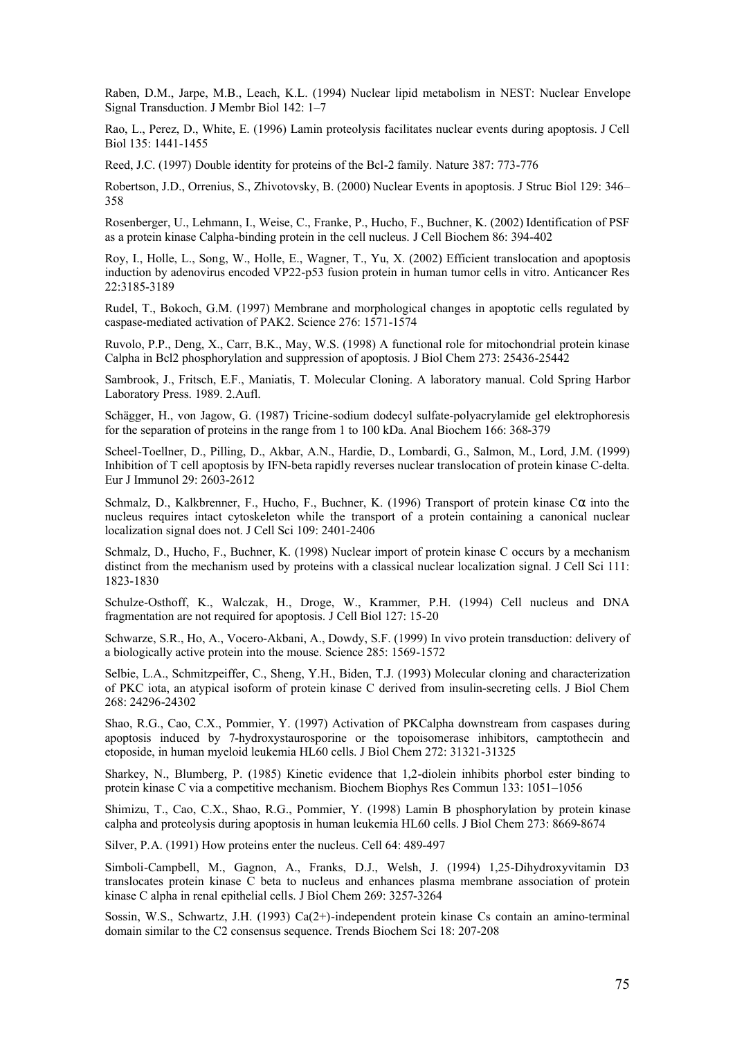Raben, D.M., Jarpe, M.B., Leach, K.L. (1994) Nuclear lipid metabolism in NEST: Nuclear Envelope Signal Transduction. J Membr Biol 142: 1–7

Rao, L., Perez, D., White, E. (1996) Lamin proteolysis facilitates nuclear events during apoptosis. J Cell Biol 135: 1441-1455

Reed, J.C. (1997) Double identity for proteins of the Bcl-2 family. Nature 387: 773-776

Robertson, J.D., Orrenius, S., Zhivotovsky, B. (2000) Nuclear Events in apoptosis. J Struc Biol 129: 346– 358

Rosenberger, U., Lehmann, I., Weise, C., Franke, P., Hucho, F., Buchner, K. (2002) Identification of PSF as a protein kinase Calpha-binding protein in the cell nucleus. J Cell Biochem 86: 394-402

Roy, I., Holle, L., Song, W., Holle, E., Wagner, T., Yu, X. (2002) Efficient translocation and apoptosis induction by adenovirus encoded VP22-p53 fusion protein in human tumor cells in vitro. Anticancer Res 22:3185-3189

Rudel, T., Bokoch, G.M. (1997) Membrane and morphological changes in apoptotic cells regulated by caspase-mediated activation of PAK2. Science 276: 1571-1574

Ruvolo, P.P., Deng, X., Carr, B.K., May, W.S. (1998) A functional role for mitochondrial protein kinase Calpha in Bcl2 phosphorylation and suppression of apoptosis. J Biol Chem 273: 25436-25442

Sambrook, J., Fritsch, E.F., Maniatis, T. Molecular Cloning. A laboratory manual. Cold Spring Harbor Laboratory Press. 1989. 2.Aufl.

Schägger, H., von Jagow, G. (1987) Tricine-sodium dodecyl sulfate-polyacrylamide gel elektrophoresis for the separation of proteins in the range from 1 to 100 kDa. Anal Biochem 166: 368-379

Scheel-Toellner, D., Pilling, D., Akbar, A.N., Hardie, D., Lombardi, G., Salmon, M., Lord, J.M. (1999) Inhibition of T cell apoptosis by IFN-beta rapidly reverses nuclear translocation of protein kinase C-delta. Eur J Immunol 29: 2603-2612

Schmalz, D., Kalkbrenner, F., Hucho, F., Buchner, K. (1996) Transport of protein kinase C $\alpha$  into the nucleus requires intact cytoskeleton while the transport of a protein containing a canonical nuclear localization signal does not. J Cell Sci 109: 2401-2406

Schmalz, D., Hucho, F., Buchner, K. (1998) Nuclear import of protein kinase C occurs by a mechanism distinct from the mechanism used by proteins with a classical nuclear localization signal. J Cell Sci 111: 1823-1830

Schulze-Osthoff, K., Walczak, H., Droge, W., Krammer, P.H. (1994) Cell nucleus and DNA fragmentation are not required for apoptosis. J Cell Biol 127: 15-20

Schwarze, S.R., Ho, A., Vocero-Akbani, A., Dowdy, S.F. (1999) In vivo protein transduction: delivery of a biologically active protein into the mouse. Science 285: 1569-1572

Selbie, L.A., Schmitzpeiffer, C., Sheng, Y.H., Biden, T.J. (1993) Molecular cloning and characterization of PKC iota, an atypical isoform of protein kinase C derived from insulin-secreting cells. J Biol Chem 268: 24296-24302

Shao, R.G., Cao, C.X., Pommier, Y. (1997) Activation of PKCalpha downstream from caspases during apoptosis induced by 7-hydroxystaurosporine or the topoisomerase inhibitors, camptothecin and etoposide, in human myeloid leukemia HL60 cells. J Biol Chem 272: 31321-31325

Sharkey, N., Blumberg, P. (1985) Kinetic evidence that 1,2-diolein inhibits phorbol ester binding to protein kinase C via a competitive mechanism. Biochem Biophys Res Commun 133: 1051–1056

Shimizu, T., Cao, C.X., Shao, R.G., Pommier, Y. (1998) Lamin B phosphorylation by protein kinase calpha and proteolysis during apoptosis in human leukemia HL60 cells. J Biol Chem 273: 8669-8674

Silver, P.A. (1991) How proteins enter the nucleus. Cell 64: 489-497

Simboli-Campbell, M., Gagnon, A., Franks, D.J., Welsh, J. (1994) 1,25-Dihydroxyvitamin D3 translocates protein kinase C beta to nucleus and enhances plasma membrane association of protein kinase C alpha in renal epithelial cells. J Biol Chem 269: 3257-3264

Sossin, W.S., Schwartz, J.H. (1993) Ca(2+)-independent protein kinase Cs contain an amino-terminal domain similar to the C2 consensus sequence. Trends Biochem Sci 18: 207-208